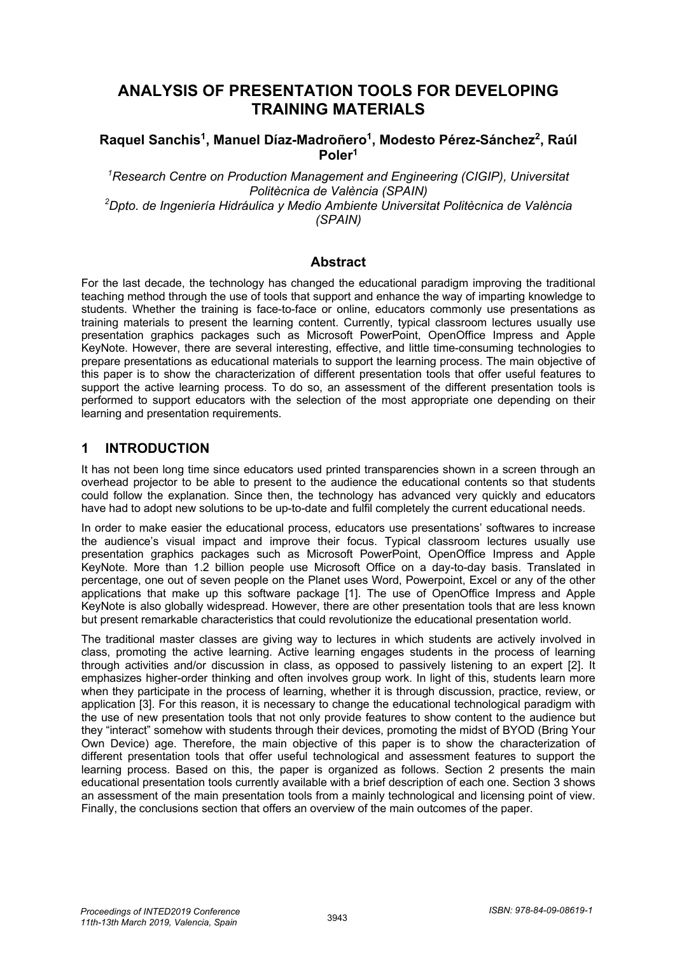# **ANALYSIS OF PRESENTATION TOOLS FOR DEVELOPING TRAINING MATERIALS**

#### Raquel Sanchis<sup>1</sup>, Manuel Díaz-Madroñero<sup>1</sup>, Modesto Pérez-Sánchez<sup>2</sup>, Raúl **Poler1**

<sup>1</sup> Research Centre on Production Management and Engineering (CIGIP), Universitat *Politècnica de València (SPAIN) 2 Dpto. de Ingeniería Hidráulica y Medio Ambiente Universitat Politècnica de València (SPAIN)* 

#### **Abstract**

For the last decade, the technology has changed the educational paradigm improving the traditional teaching method through the use of tools that support and enhance the way of imparting knowledge to students. Whether the training is face-to-face or online, educators commonly use presentations as training materials to present the learning content. Currently, typical classroom lectures usually use presentation graphics packages such as Microsoft PowerPoint, OpenOffice Impress and Apple KeyNote. However, there are several interesting, effective, and little time-consuming technologies to prepare presentations as educational materials to support the learning process. The main objective of this paper is to show the characterization of different presentation tools that offer useful features to support the active learning process. To do so, an assessment of the different presentation tools is performed to support educators with the selection of the most appropriate one depending on their learning and presentation requirements.

#### **1 INTRODUCTION**

It has not been long time since educators used printed transparencies shown in a screen through an overhead projector to be able to present to the audience the educational contents so that students could follow the explanation. Since then, the technology has advanced very quickly and educators have had to adopt new solutions to be up-to-date and fulfil completely the current educational needs.

In order to make easier the educational process, educators use presentations' softwares to increase the audience's visual impact and improve their focus. Typical classroom lectures usually use presentation graphics packages such as Microsoft PowerPoint, OpenOffice Impress and Apple KeyNote. More than 1.2 billion people use Microsoft Office on a day-to-day basis. Translated in percentage, one out of seven people on the Planet uses Word, Powerpoint, Excel or any of the other applications that make up this software package [1]. The use of OpenOffice Impress and Apple KeyNote is also globally widespread. However, there are other presentation tools that are less known but present remarkable characteristics that could revolutionize the educational presentation world.

The traditional master classes are giving way to lectures in which students are actively involved in class, promoting the active learning. Active learning engages students in the process of learning through activities and/or discussion in class, as opposed to passively listening to an expert [2]. It emphasizes higher-order thinking and often involves group work. In light of this, students learn more when they participate in the process of learning, whether it is through discussion, practice, review, or application [3]. For this reason, it is necessary to change the educational technological paradigm with the use of new presentation tools that not only provide features to show content to the audience but they "interact" somehow with students through their devices, promoting the midst of BYOD (Bring Your Own Device) age. Therefore, the main objective of this paper is to show the characterization of different presentation tools that offer useful technological and assessment features to support the learning process. Based on this, the paper is organized as follows. Section 2 presents the main educational presentation tools currently available with a brief description of each one. Section 3 shows an assessment of the main presentation tools from a mainly technological and licensing point of view. Finally, the conclusions section that offers an overview of the main outcomes of the paper.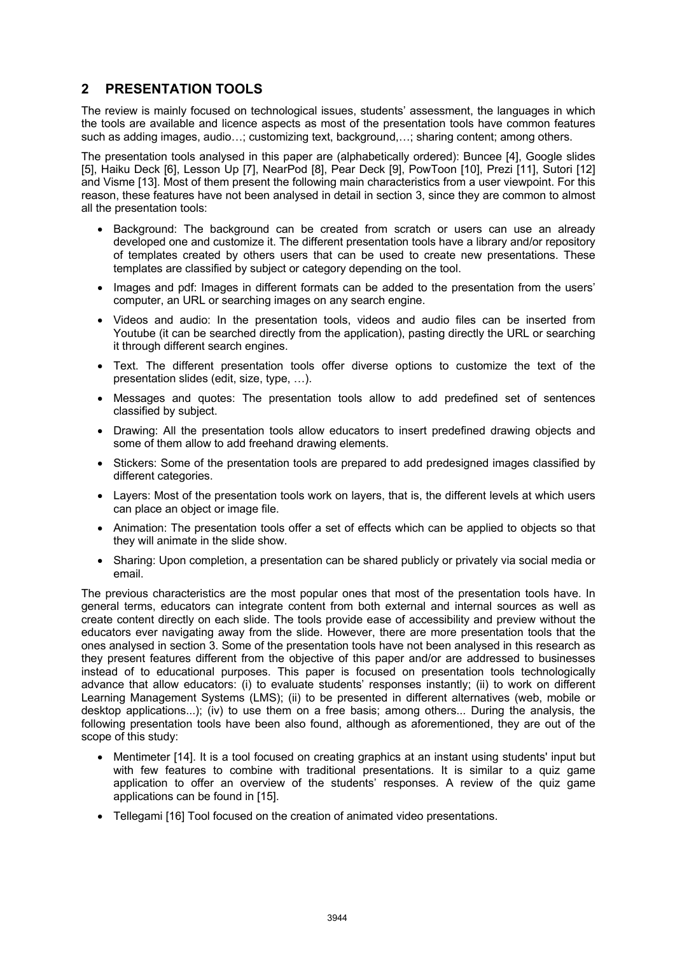### **2 PRESENTATION TOOLS**

The review is mainly focused on technological issues, students' assessment, the languages in which the tools are available and licence aspects as most of the presentation tools have common features such as adding images, audio…; customizing text, background,…; sharing content; among others.

The presentation tools analysed in this paper are (alphabetically ordered): Buncee [4], Google slides [5], Haiku Deck [6], Lesson Up [7], NearPod [8], Pear Deck [9], PowToon [10], Prezi [11], Sutori [12] and Visme [13]. Most of them present the following main characteristics from a user viewpoint. For this reason, these features have not been analysed in detail in section 3, since they are common to almost all the presentation tools:

- Background: The background can be created from scratch or users can use an already developed one and customize it. The different presentation tools have a library and/or repository of templates created by others users that can be used to create new presentations. These templates are classified by subject or category depending on the tool.
- Images and pdf: Images in different formats can be added to the presentation from the users' computer, an URL or searching images on any search engine.
- Videos and audio: In the presentation tools, videos and audio files can be inserted from Youtube (it can be searched directly from the application), pasting directly the URL or searching it through different search engines.
- Text. The different presentation tools offer diverse options to customize the text of the presentation slides (edit, size, type, …).
- Messages and quotes: The presentation tools allow to add predefined set of sentences classified by subject.
- Drawing: All the presentation tools allow educators to insert predefined drawing objects and some of them allow to add freehand drawing elements.
- Stickers: Some of the presentation tools are prepared to add predesigned images classified by different categories.
- Layers: Most of the presentation tools work on layers, that is, the different levels at which users can place an object or image file.
- Animation: The presentation tools offer a set of effects which can be applied to objects so that they will animate in the slide show.
- Sharing: Upon completion, a presentation can be shared publicly or privately via social media or email.

The previous characteristics are the most popular ones that most of the presentation tools have. In general terms, educators can integrate content from both external and internal sources as well as create content directly on each slide. The tools provide ease of accessibility and preview without the educators ever navigating away from the slide. However, there are more presentation tools that the ones analysed in section 3. Some of the presentation tools have not been analysed in this research as they present features different from the objective of this paper and/or are addressed to businesses instead of to educational purposes. This paper is focused on presentation tools technologically advance that allow educators: (i) to evaluate students' responses instantly; (ii) to work on different Learning Management Systems (LMS); (ii) to be presented in different alternatives (web, mobile or desktop applications...); (iv) to use them on a free basis; among others... During the analysis, the following presentation tools have been also found, although as aforementioned, they are out of the scope of this study:

- Mentimeter [14]. It is a tool focused on creating graphics at an instant using students' input but with few features to combine with traditional presentations. It is similar to a quiz game application to offer an overview of the students' responses. A review of the quiz game applications can be found in [15].
- Tellegami [16] Tool focused on the creation of animated video presentations.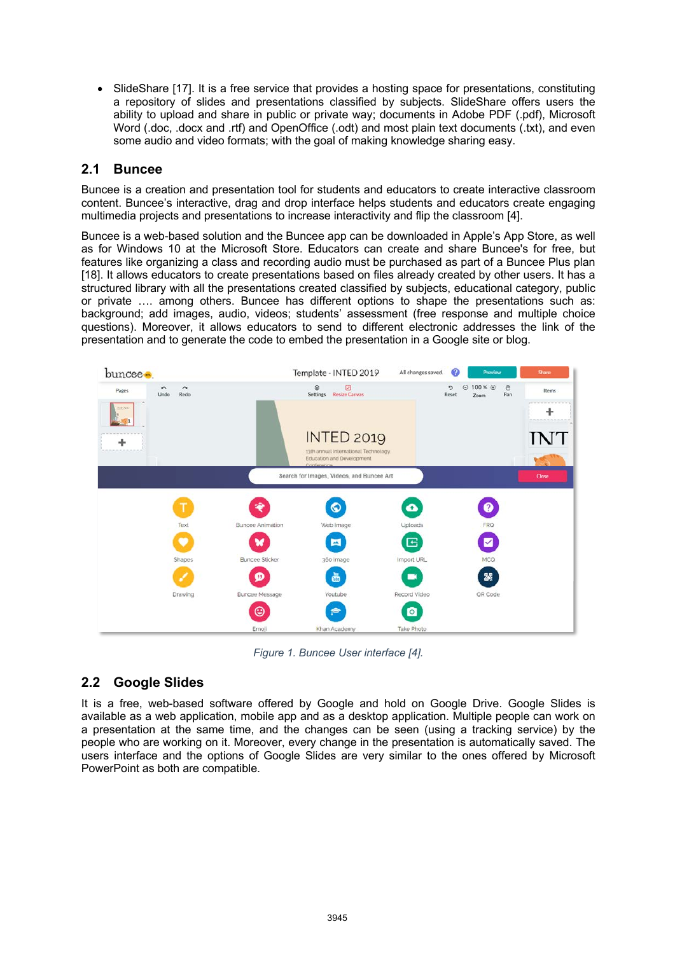• SlideShare [17]. It is a free service that provides a hosting space for presentations, constituting a repository of slides and presentations classified by subjects. SlideShare offers users the ability to upload and share in public or private way; documents in Adobe PDF (.pdf), Microsoft Word (.doc, .docx and .rtf) and OpenOffice (.odt) and most plain text documents (.txt), and even some audio and video formats; with the goal of making knowledge sharing easy.

#### **2.1 Buncee**

Buncee is a creation and presentation tool for students and educators to create interactive classroom content. Buncee's interactive, drag and drop interface helps students and educators create engaging multimedia projects and presentations to increase interactivity and flip the classroom [4].

Buncee is a web-based solution and the Buncee app can be downloaded in Apple's App Store, as well as for Windows 10 at the Microsoft Store. Educators can create and share Buncee's for free, but features like organizing a class and recording audio must be purchased as part of a Buncee Plus plan [18]. It allows educators to create presentations based on files already created by other users. It has a structured library with all the presentations created classified by subjects, educational category, public or private …. among others. Buncee has different options to shape the presentations such as: background; add images, audio, videos; students' assessment (free response and multiple choice questions). Moreover, it allows educators to send to different electronic addresses the link of the presentation and to generate the code to embed the presentation in a Google site or blog.



*Figure 1. Buncee User interface [4].*

### **2.2 Google Slides**

It is a free, web-based software offered by Google and hold on Google Drive. Google Slides is available as a web application, mobile app and as a desktop application. Multiple people can work on a presentation at the same time, and the changes can be seen (using a tracking service) by the people who are working on it. Moreover, every change in the presentation is automatically saved. The users interface and the options of Google Slides are very similar to the ones offered by Microsoft PowerPoint as both are compatible.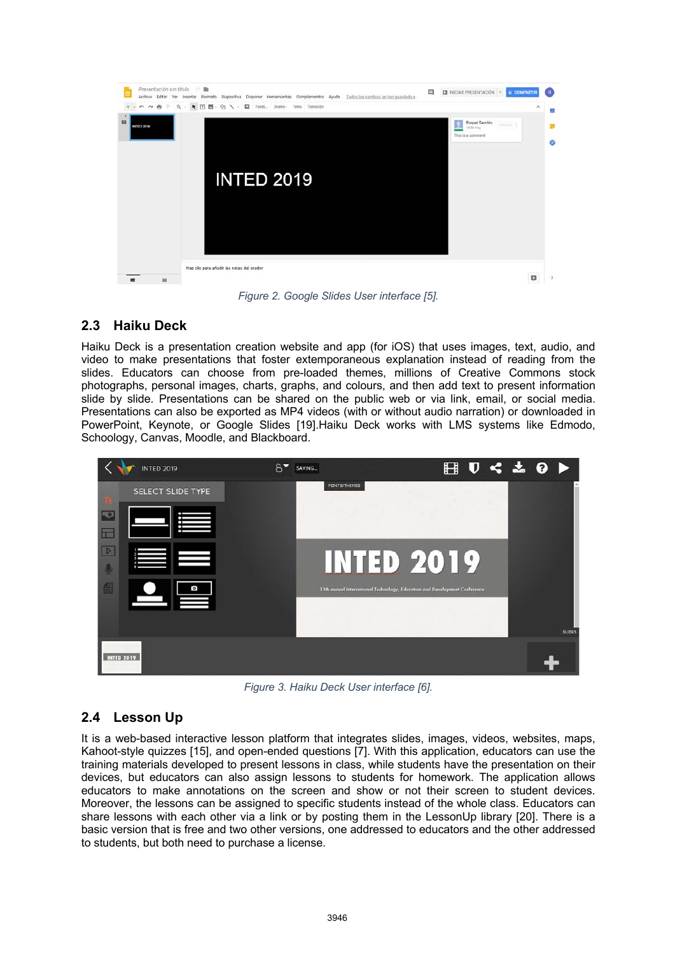

*Figure 2. Google Slides User interface [5].*

## **2.3 Haiku Deck**

Haiku Deck is a presentation creation website and app (for iOS) that uses images, text, audio, and video to make presentations that foster extemporaneous explanation instead of reading from the slides. Educators can choose from pre-loaded themes, millions of Creative Commons stock photographs, personal images, charts, graphs, and colours, and then add text to present information slide by slide. Presentations can be shared on the public web or via link, email, or social media. Presentations can also be exported as MP4 videos (with or without audio narration) or downloaded in PowerPoint, Keynote, or Google Slides [19].Haiku Deck works with LMS systems like Edmodo, Schoology, Canvas, Moodle, and Blackboard.



*Figure 3. Haiku Deck User interface [6].*

# **2.4 Lesson Up**

It is a web-based interactive lesson platform that integrates slides, images, videos, websites, maps, Kahoot-style quizzes [15], and open-ended questions [7]. With this application, educators can use the training materials developed to present lessons in class, while students have the presentation on their devices, but educators can also assign lessons to students for homework. The application allows educators to make annotations on the screen and show or not their screen to student devices. Moreover, the lessons can be assigned to specific students instead of the whole class. Educators can share lessons with each other via a link or by posting them in the LessonUp library [20]. There is a basic version that is free and two other versions, one addressed to educators and the other addressed to students, but both need to purchase a license.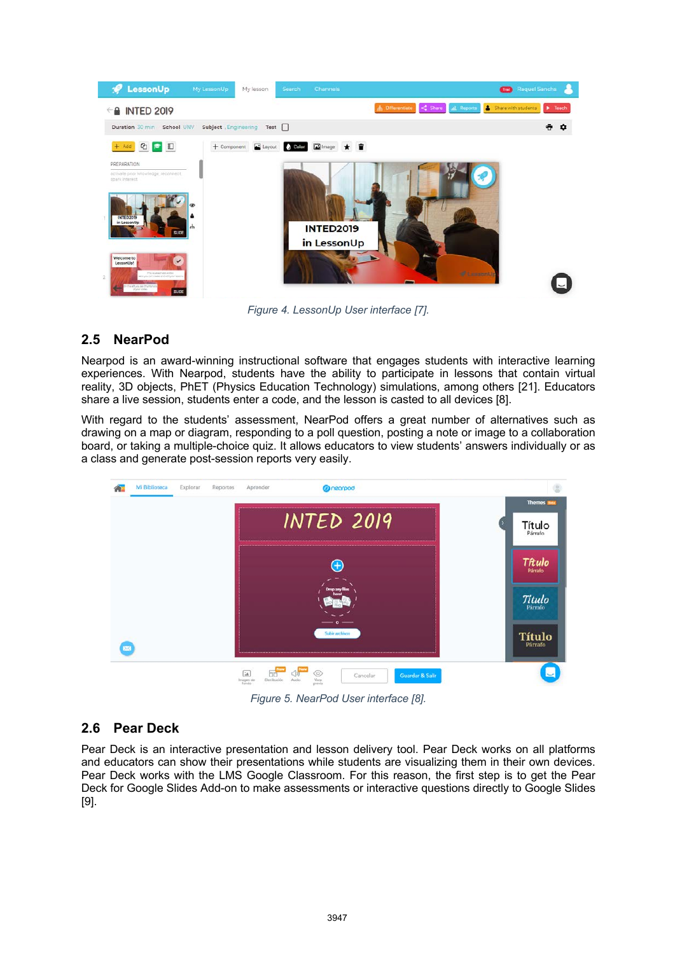

*Figure 4. LessonUp User interface [7].* 

# **2.5 NearPod**

Nearpod is an award-winning instructional software that engages students with interactive learning experiences. With Nearpod, students have the ability to participate in lessons that contain virtual reality, 3D objects, PhET (Physics Education Technology) simulations, among others [21]. Educators share a live session, students enter a code, and the lesson is casted to all devices [8].

With regard to the students' assessment, NearPod offers a great number of alternatives such as drawing on a map or diagram, responding to a poll question, posting a note or image to a collaboration board, or taking a multiple-choice quiz. It allows educators to view students' answers individually or as a class and generate post-session reports very easily.



*Figure 5. NearPod User interface [8].* 

# **2.6 Pear Deck**

Pear Deck is an interactive presentation and lesson delivery tool. Pear Deck works on all platforms and educators can show their presentations while students are visualizing them in their own devices. Pear Deck works with the LMS Google Classroom. For this reason, the first step is to get the Pear Deck for Google Slides Add-on to make assessments or interactive questions directly to Google Slides [9].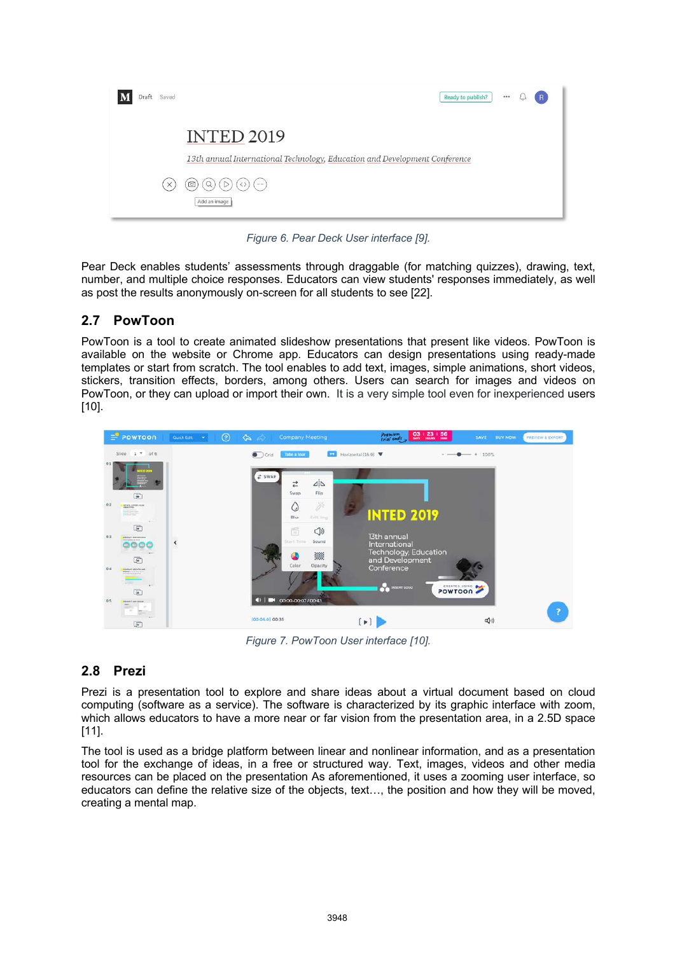| Saved<br>Draft | $$<br>Ready to publish?<br>$\overline{R}$                                                       |
|----------------|-------------------------------------------------------------------------------------------------|
|                | <b>INTED 2019</b><br>13th annual International Technology, Education and Development Conference |
| $\times$       | ⊙<br>(5)<br>$\langle \rangle$<br>$l=-1$ .<br>u<br>Add an image                                  |

*Figure 6. Pear Deck User interface [9].* 

Pear Deck enables students' assessments through draggable (for matching quizzes), drawing, text, number, and multiple choice responses. Educators can view students' responses immediately, as well as post the results anonymously on-screen for all students to see [22].

## **2.7 PowToon**

PowToon is a tool to create animated slideshow presentations that present like videos. PowToon is available on the website or Chrome app. Educators can design presentations using ready-made templates or start from scratch. The tool enables to add text, images, simple animations, short videos, stickers, transition effects, borders, among others. Users can search for images and videos on PowToon, or they can upload or import their own. It is a very simple tool even for inexperienced users [10].



*Figure 7. PowToon User interface [10].* 

# **2.8 Prezi**

Prezi is a presentation tool to explore and share ideas about a virtual document based on cloud computing (software as a service). The software is characterized by its graphic interface with zoom, which allows educators to have a more near or far vision from the presentation area, in a 2.5D space [11].

The tool is used as a bridge platform between linear and nonlinear information, and as a presentation tool for the exchange of ideas, in a free or structured way. Text, images, videos and other media resources can be placed on the presentation As aforementioned, it uses a zooming user interface, so educators can define the relative size of the objects, text…, the position and how they will be moved, creating a mental map.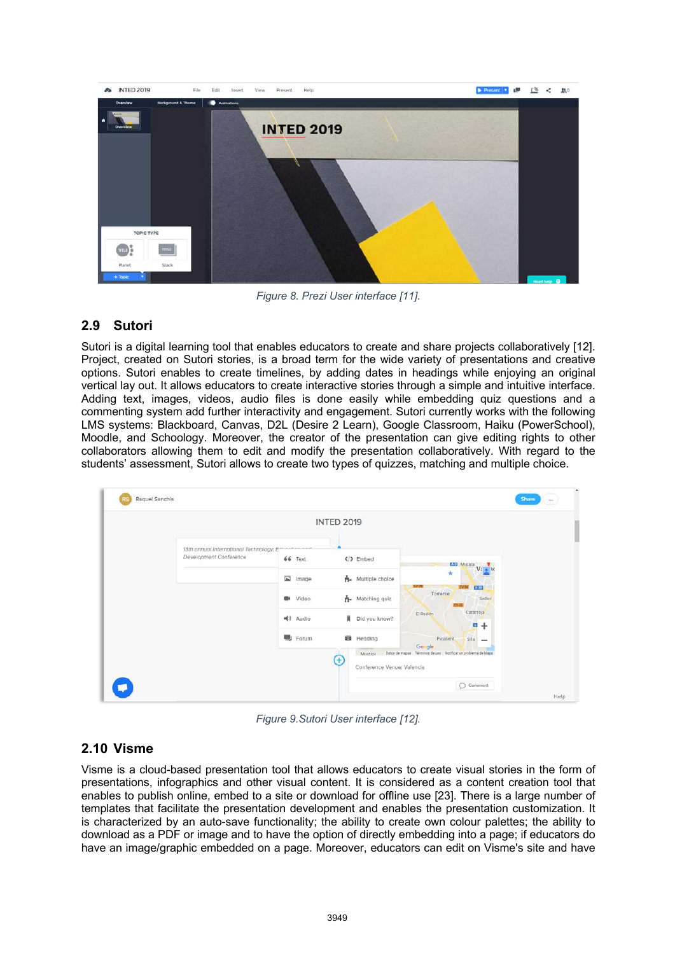

*Figure 8. Prezi User interface [11].* 

### **2.9 Sutori**

Sutori is a digital learning tool that enables educators to create and share projects collaboratively [12]. Project, created on Sutori stories, is a broad term for the wide variety of presentations and creative options. Sutori enables to create timelines, by adding dates in headings while enjoying an original vertical lay out. It allows educators to create interactive stories through a simple and intuitive interface. Adding text, images, videos, audio files is done easily while embedding quiz questions and a commenting system add further interactivity and engagement. Sutori currently works with the following LMS systems: Blackboard, Canvas, D2L (Desire 2 Learn), Google Classroom, Haiku (PowerSchool), Moodle, and Schoology. Moreover, the creator of the presentation can give editing rights to other collaborators allowing them to edit and modify the presentation collaboratively. With regard to the students' assessment, Sutori allows to create two types of quizzes, matching and multiple choice.



*Figure 9.Sutori User interface [12].* 

### **2.10 Visme**

Visme is a cloud-based presentation tool that allows educators to create visual stories in the form of presentations, infographics and other visual content. It is considered as a content creation tool that enables to publish online, embed to a site or download for offline use [23]. There is a large number of templates that facilitate the presentation development and enables the presentation customization. It is characterized by an auto-save functionality; the ability to create own colour palettes; the ability to download as a PDF or image and to have the option of directly embedding into a page; if educators do have an image/graphic embedded on a page. Moreover, educators can edit on Visme's site and have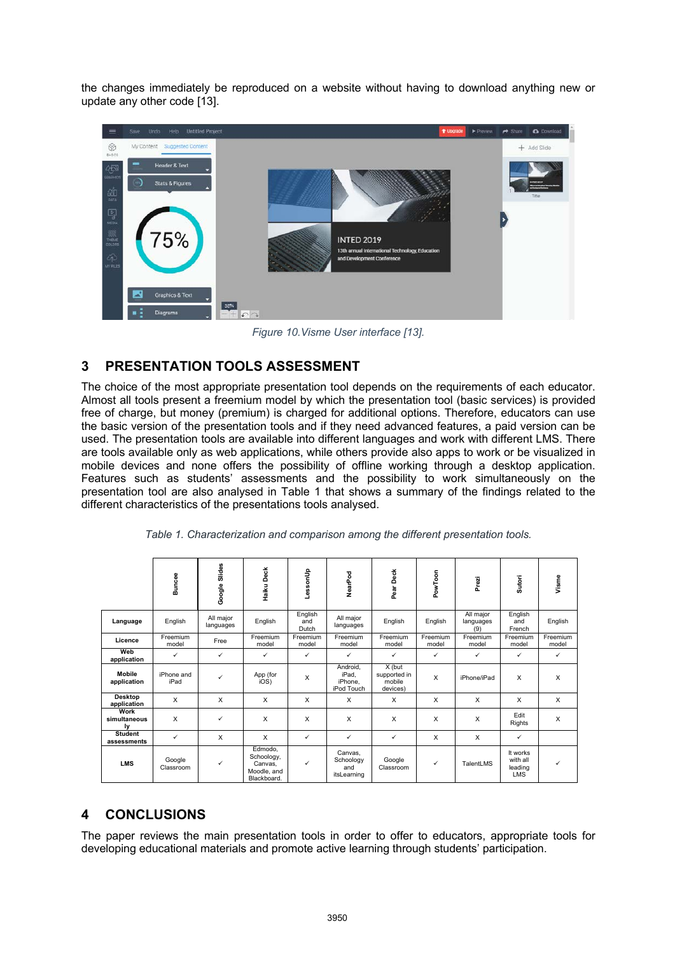the changes immediately be reproduced on a website without having to download anything new or update any other code [13].



*Figure 10.Visme User interface [13].* 

# **3 PRESENTATION TOOLS ASSESSMENT**

The choice of the most appropriate presentation tool depends on the requirements of each educator. Almost all tools present a freemium model by which the presentation tool (basic services) is provided free of charge, but money (premium) is charged for additional options. Therefore, educators can use the basic version of the presentation tools and if they need advanced features, a paid version can be used. The presentation tools are available into different languages and work with different LMS. There are tools available only as web applications, while others provide also apps to work or be visualized in mobile devices and none offers the possibility of offline working through a desktop application. Features such as students' assessments and the possibility to work simultaneously on the presentation tool are also analysed in Table 1 that shows a summary of the findings related to the different characteristics of the presentations tools analysed.

|                               | Buncee              | Google Slides          | Haiku Deck                                                     | duussad                 | NearPod                                    | Pear Deck                                    | PowToon           | Prezi                         | Sutori                                        | Visme             |
|-------------------------------|---------------------|------------------------|----------------------------------------------------------------|-------------------------|--------------------------------------------|----------------------------------------------|-------------------|-------------------------------|-----------------------------------------------|-------------------|
| Language                      | English             | All major<br>languages | English                                                        | English<br>and<br>Dutch | All maior<br>languages                     | English                                      | English           | All major<br>languages<br>(9) | English<br>and<br>French                      | English           |
| Licence                       | Freemium<br>model   | Free                   | Freemium<br>model                                              | Freemium<br>model       | Freemium<br>model                          | Freemium<br>model                            | Freemium<br>model | Freemium<br>model             | Freemium<br>model                             | Freemium<br>model |
| Web<br>application            | ✓                   | $\checkmark$           | $\checkmark$                                                   | ✓                       | ✓                                          | ✓                                            | ✓                 | ✓                             | ✓                                             | ✓                 |
| <b>Mobile</b><br>application  | iPhone and<br>iPad  | ✓                      | App (for<br>iOS)                                               | X                       | Android.<br>iPad.<br>iPhone.<br>iPod Touch | X (but<br>supported in<br>mobile<br>devices) | $\mathsf{x}$      | iPhone/iPad                   | X                                             | $\mathsf{x}$      |
| <b>Desktop</b><br>application | X                   | $\times$               | $\times$                                                       | $\times$                | X                                          | $\times$                                     | X                 | $\times$                      | X                                             | X                 |
| Work<br>simultaneous<br>Iv    | X                   | ✓                      | X                                                              | X                       | X                                          | $\times$                                     | X                 | X                             | Edit<br>Rights                                | X                 |
| <b>Student</b><br>assessments | ✓                   | X                      | $\mathsf{X}$                                                   | $\checkmark$            | ✓                                          | ✓                                            | X                 | X                             | $\checkmark$                                  |                   |
| <b>LMS</b>                    | Google<br>Classroom | ✓                      | Edmodo.<br>Schoology,<br>Canvas.<br>Moodle, and<br>Blackboard. | ✓                       | Canvas,<br>Schoology<br>and<br>itsLearning | Google<br>Classroom                          | ✓                 | TalentLMS                     | It works<br>with all<br>leading<br><b>LMS</b> | ✓                 |

*Table 1. Characterization and comparison among the different presentation tools.*

# **4 CONCLUSIONS**

The paper reviews the main presentation tools in order to offer to educators, appropriate tools for